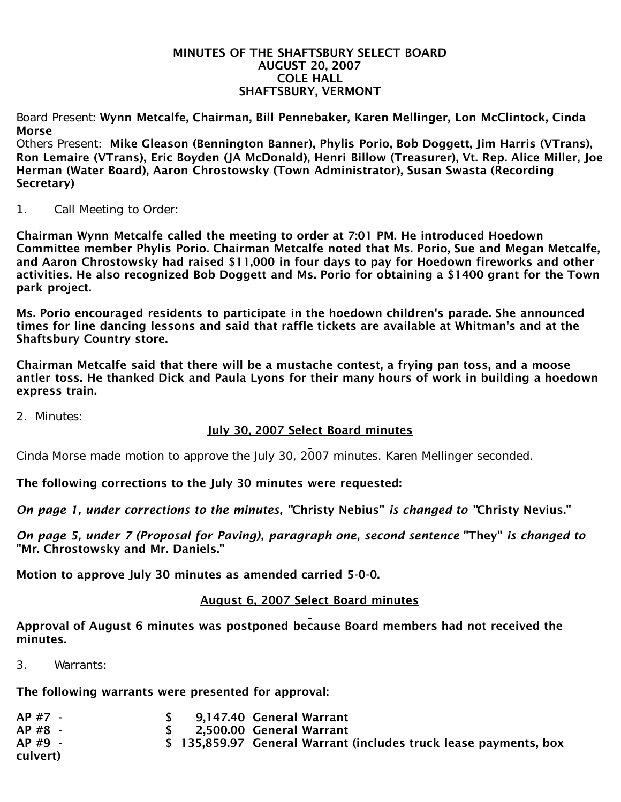## MINUTES OF THE SHAFTSBURY SELECT BOARD AUGUST 20, 2007 COLE HALL SHAFTSBURY, VERMONT

Board Present: Wynn Metcalfe, Chairman, Bill Pennebaker, Karen Mellinger, Lon McClintock, Cinda Morse

Others Present: Mike Gleason (Bennington Banner), Phylis Porio, Bob Doggett, Jim Harris (VTrans), Ron Lemaire (VTrans), Eric Boyden (JA McDonald), Henri Billow (Treasurer), Vt. Rep. Alice Miller, Joe Herman (Water Board), Aaron Chrostowsky (Town Administrator), Susan Swasta (Recording Secretary)

1. Call Meeting to Order:

Chairman Wynn Metcalfe called the meeting to order at 7:01 PM. He introduced Hoedown Committee member Phylis Porio. Chairman Metcalfe noted that Ms. Porio, Sue and Megan Metcalfe, and Aaron Chrostowsky had raised \$11,000 in four days to pay for Hoedown fireworks and other activities. He also recognized Bob Doggett and Ms. Porio for obtaining a \$1400 grant for the Town park project.

Ms. Porio encouraged residents to participate in the hoedown children's parade. She announced times for line dancing lessons and said that raffle tickets are available at Whitman's and at the Shaftsbury Country store.

Chairman Metcalfe said that there will be a mustache contest, a frying pan toss, and a moose antler toss. He thanked Dick and Paula Lyons for their many hours of work in building a hoedown express train.

2. Minutes:

## July 30, 2007 Select Board minutes

Cinda Morse made motion to approve the July 30, 2007 minutes. Karen Mellinger seconded.

The following corrections to the July 30 minutes were requested:

*On page 1, under corrections to the minutes, "*Christy Nebius" *is changed to "*Christy Nevius."

*On page 5, under 7 (Proposal for Paving), paragraph one, second sentence* "They" *is changed to* "Mr. Chrostowsky and Mr. Daniels."

Motion to approve July 30 minutes as amended carried 5-0-0.

## August 6, 2007 Select Board minutes

Approval of August 6 minutes was postponed because Board members had not received the minutes.

3. Warrants:

The following warrants were presented for approval:

| AP #7 -  |  | 9,147.40 General Warrant                                          |
|----------|--|-------------------------------------------------------------------|
| AP #8 -  |  | \$ 2,500.00 General Warrant                                       |
| $AP#9 -$ |  | \$ 135,859.97 General Warrant (includes truck lease payments, box |
| culvert) |  |                                                                   |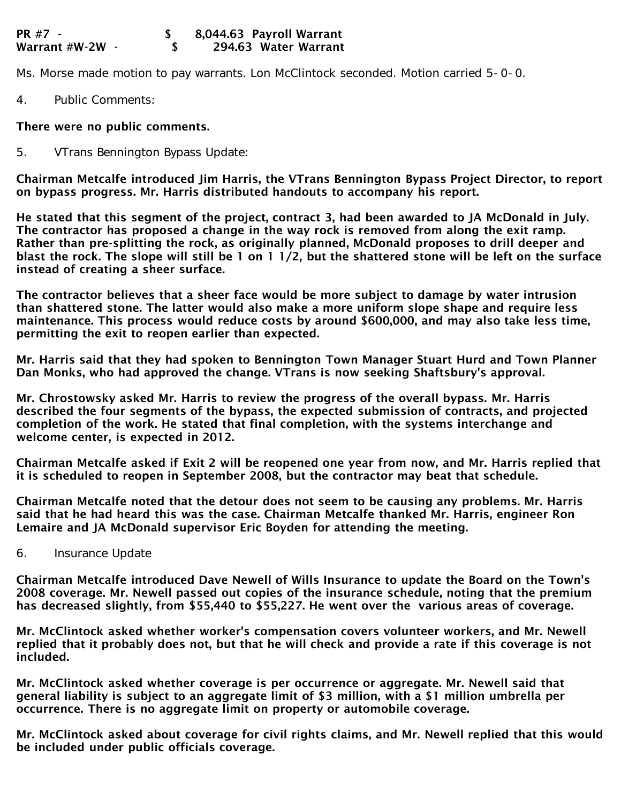Ms. Morse made motion to pay warrants. Lon McClintock seconded. Motion carried 5-0-0.

4. Public Comments:

## There were no public comments.

5. VTrans Bennington Bypass Update:

Chairman Metcalfe introduced Jim Harris, the VTrans Bennington Bypass Project Director, to report on bypass progress. Mr. Harris distributed handouts to accompany his report.

He stated that this segment of the project, contract 3, had been awarded to JA McDonald in July. The contractor has proposed a change in the way rock is removed from along the exit ramp. Rather than pre-splitting the rock, as originally planned, McDonald proposes to drill deeper and blast the rock. The slope will still be 1 on 1 1/2, but the shattered stone will be left on the surface instead of creating a sheer surface.

The contractor believes that a sheer face would be more subject to damage by water intrusion than shattered stone. The latter would also make a more uniform slope shape and require less maintenance. This process would reduce costs by around \$600,000, and may also take less time, permitting the exit to reopen earlier than expected.

Mr. Harris said that they had spoken to Bennington Town Manager Stuart Hurd and Town Planner Dan Monks, who had approved the change. VTrans is now seeking Shaftsbury's approval.

Mr. Chrostowsky asked Mr. Harris to review the progress of the overall bypass. Mr. Harris described the four segments of the bypass, the expected submission of contracts, and projected completion of the work. He stated that final completion, with the systems interchange and welcome center, is expected in 2012.

Chairman Metcalfe asked if Exit 2 will be reopened one year from now, and Mr. Harris replied that it is scheduled to reopen in September 2008, but the contractor may beat that schedule.

Chairman Metcalfe noted that the detour does not seem to be causing any problems. Mr. Harris said that he had heard this was the case. Chairman Metcalfe thanked Mr. Harris, engineer Ron Lemaire and JA McDonald supervisor Eric Boyden for attending the meeting.

6. Insurance Update

Chairman Metcalfe introduced Dave Newell of Wills Insurance to update the Board on the Town's 2008 coverage. Mr. Newell passed out copies of the insurance schedule, noting that the premium has decreased slightly, from \$55,440 to \$55,227. He went over the various areas of coverage.

Mr. McClintock asked whether worker's compensation covers volunteer workers, and Mr. Newell replied that it probably does not, but that he will check and provide a rate if this coverage is not included.

Mr. McClintock asked whether coverage is per occurrence or aggregate. Mr. Newell said that general liability is subject to an aggregate limit of \$3 million, with a \$1 million umbrella per occurrence. There is no aggregate limit on property or automobile coverage.

Mr. McClintock asked about coverage for civil rights claims, and Mr. Newell replied that this would be included under public officials coverage.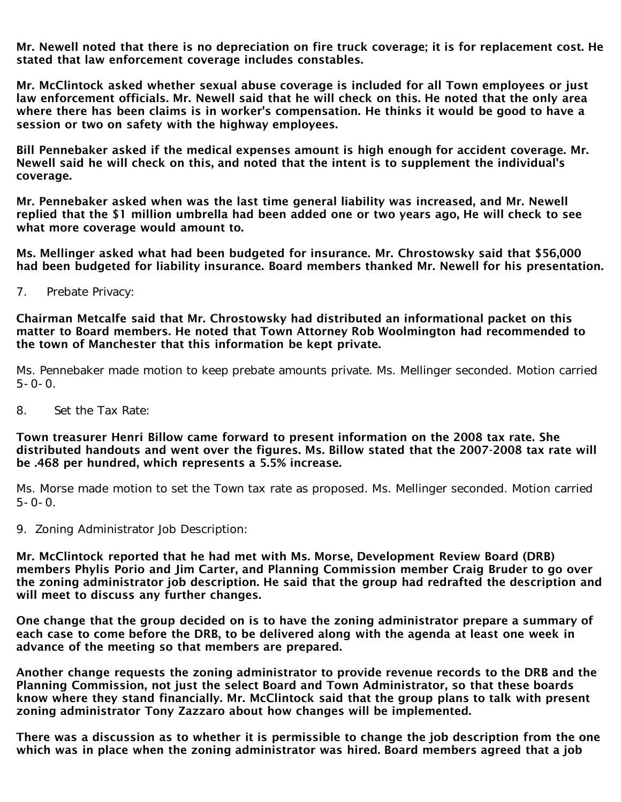Mr. Newell noted that there is no depreciation on fire truck coverage; it is for replacement cost. He stated that law enforcement coverage includes constables.

Mr. McClintock asked whether sexual abuse coverage is included for all Town employees or just law enforcement officials. Mr. Newell said that he will check on this. He noted that the only area where there has been claims is in worker's compensation. He thinks it would be good to have a session or two on safety with the highway employees.

Bill Pennebaker asked if the medical expenses amount is high enough for accident coverage. Mr. Newell said he will check on this, and noted that the intent is to supplement the individual's coverage.

Mr. Pennebaker asked when was the last time general liability was increased, and Mr. Newell replied that the \$1 million umbrella had been added one or two years ago, He will check to see what more coverage would amount to.

Ms. Mellinger asked what had been budgeted for insurance. Mr. Chrostowsky said that \$56,000 had been budgeted for liability insurance. Board members thanked Mr. Newell for his presentation.

7. Prebate Privacy:

Chairman Metcalfe said that Mr. Chrostowsky had distributed an informational packet on this matter to Board members. He noted that Town Attorney Rob Woolmington had recommended to the town of Manchester that this information be kept private.

Ms. Pennebaker made motion to keep prebate amounts private. Ms. Mellinger seconded. Motion carried  $5 - 0 - 0$ .

8. Set the Tax Rate:

Town treasurer Henri Billow came forward to present information on the 2008 tax rate. She distributed handouts and went over the figures. Ms. Billow stated that the 2007-2008 tax rate will be .468 per hundred, which represents a 5.5% increase.

Ms. Morse made motion to set the Town tax rate as proposed. Ms. Mellinger seconded. Motion carried  $5 - 0 - 0$ .

9. Zoning Administrator Job Description:

Mr. McClintock reported that he had met with Ms. Morse, Development Review Board (DRB) members Phylis Porio and Jim Carter, and Planning Commission member Craig Bruder to go over the zoning administrator job description. He said that the group had redrafted the description and will meet to discuss any further changes.

One change that the group decided on is to have the zoning administrator prepare a summary of each case to come before the DRB, to be delivered along with the agenda at least one week in advance of the meeting so that members are prepared.

Another change requests the zoning administrator to provide revenue records to the DRB and the Planning Commission, not just the select Board and Town Administrator, so that these boards know where they stand financially. Mr. McClintock said that the group plans to talk with present zoning administrator Tony Zazzaro about how changes will be implemented.

There was a discussion as to whether it is permissible to change the job description from the one which was in place when the zoning administrator was hired. Board members agreed that a job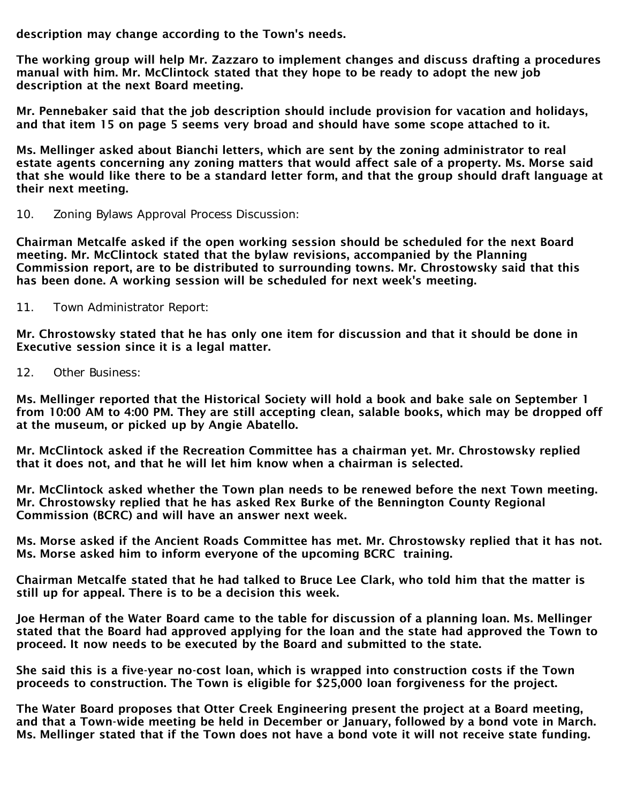description may change according to the Town's needs.

The working group will help Mr. Zazzaro to implement changes and discuss drafting a procedures manual with him. Mr. McClintock stated that they hope to be ready to adopt the new job description at the next Board meeting.

Mr. Pennebaker said that the job description should include provision for vacation and holidays, and that item 15 on page 5 seems very broad and should have some scope attached to it.

Ms. Mellinger asked about Bianchi letters, which are sent by the zoning administrator to real estate agents concerning any zoning matters that would affect sale of a property. Ms. Morse said that she would like there to be a standard letter form, and that the group should draft language at their next meeting.

10. Zoning Bylaws Approval Process Discussion:

Chairman Metcalfe asked if the open working session should be scheduled for the next Board meeting. Mr. McClintock stated that the bylaw revisions, accompanied by the Planning Commission report, are to be distributed to surrounding towns. Mr. Chrostowsky said that this has been done. A working session will be scheduled for next week's meeting.

11. Town Administrator Report:

Mr. Chrostowsky stated that he has only one item for discussion and that it should be done in Executive session since it is a legal matter.

12. Other Business:

Ms. Mellinger reported that the Historical Society will hold a book and bake sale on September 1 from 10:00 AM to 4:00 PM. They are still accepting clean, salable books, which may be dropped off at the museum, or picked up by Angie Abatello.

Mr. McClintock asked if the Recreation Committee has a chairman yet. Mr. Chrostowsky replied that it does not, and that he will let him know when a chairman is selected.

Mr. McClintock asked whether the Town plan needs to be renewed before the next Town meeting. Mr. Chrostowsky replied that he has asked Rex Burke of the Bennington County Regional Commission (BCRC) and will have an answer next week.

Ms. Morse asked if the Ancient Roads Committee has met. Mr. Chrostowsky replied that it has not. Ms. Morse asked him to inform everyone of the upcoming BCRC training.

Chairman Metcalfe stated that he had talked to Bruce Lee Clark, who told him that the matter is still up for appeal. There is to be a decision this week.

Joe Herman of the Water Board came to the table for discussion of a planning loan. Ms. Mellinger stated that the Board had approved applying for the loan and the state had approved the Town to proceed. It now needs to be executed by the Board and submitted to the state.

She said this is a five-year no-cost loan, which is wrapped into construction costs if the Town proceeds to construction. The Town is eligible for \$25,000 loan forgiveness for the project.

The Water Board proposes that Otter Creek Engineering present the project at a Board meeting, and that a Town-wide meeting be held in December or January, followed by a bond vote in March. Ms. Mellinger stated that if the Town does not have a bond vote it will not receive state funding.